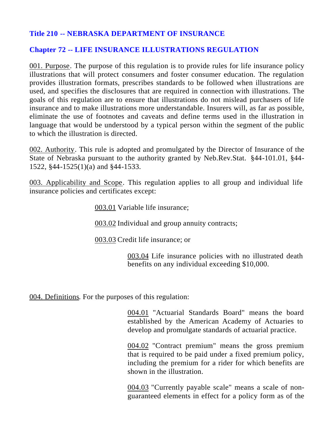# **Title 210 -- NEBRASKA DEPARTMENT OF INSURANCE**

# **Chapter 72 -- LIFE INSURANCE ILLUSTRATIONS REGULATION**

001. Purpose. The purpose of this regulation is to provide rules for life insurance policy illustrations that will protect consumers and foster consumer education. The regulation provides illustration formats, prescribes standards to be followed when illustrations are used, and specifies the disclosures that are required in connection with illustrations. The goals of this regulation are to ensure that illustrations do not mislead purchasers of life insurance and to make illustrations more understandable. Insurers will, as far as possible, eliminate the use of footnotes and caveats and define terms used in the illustration in language that would be understood by a typical person within the segment of the public to which the illustration is directed.

002. Authority. This rule is adopted and promulgated by the Director of Insurance of the State of Nebraska pursuant to the authority granted by Neb.Rev.Stat. §44-101.01, §44- 1522, §44-1525(1)(a) and §44-1533.

003. Applicability and Scope. This regulation applies to all group and individual life insurance policies and certificates except:

003.01 Variable life insurance;

003.02 Individual and group annuity contracts;

003.03 Credit life insurance; or

003.04 Life insurance policies with no illustrated death benefits on any individual exceeding \$10,000.

004. Definitions. For the purposes of this regulation:

004.01 "Actuarial Standards Board" means the board established by the American Academy of Actuaries to develop and promulgate standards of actuarial practice.

004.02 "Contract premium" means the gross premium that is required to be paid under a fixed premium policy, including the premium for a rider for which benefits are shown in the illustration.

004.03 "Currently payable scale" means a scale of nonguaranteed elements in effect for a policy form as of the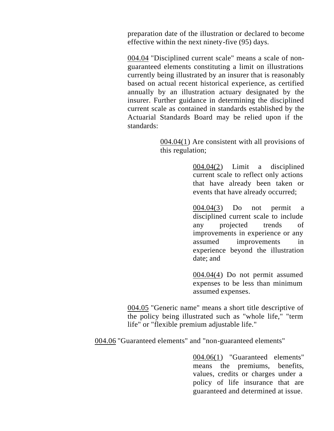preparation date of the illustration or declared to become effective within the next ninety-five (95) days.

004.04 "Disciplined current scale" means a scale of nonguaranteed elements constituting a limit on illustrations currently being illustrated by an insurer that is reasonably based on actual recent historical experience, as certified annually by an illustration actuary designated by the insurer. Further guidance in determining the disciplined current scale as contained in standards established by the Actuarial Standards Board may be relied upon if the standards:

> $004.04(1)$  Are consistent with all provisions of this regulation;

> > 004.04(2) Limit a disciplined current scale to reflect only actions that have already been taken or events that have already occurred;

> > 004.04(3) Do not permit a disciplined current scale to include any projected trends of improvements in experience or any assumed improvements in experience beyond the illustration date; and

004.04(4) Do not permit assumed expenses to be less than minimum assumed expenses.

004.05 "Generic name" means a short title descriptive of the policy being illustrated such as "whole life," "term life" or "flexible premium adjustable life."

004.06 "Guaranteed elements" and "non-guaranteed elements"

004.06(1) "Guaranteed elements" means the premiums, benefits, values, credits or charges under a policy of life insurance that are guaranteed and determined at issue.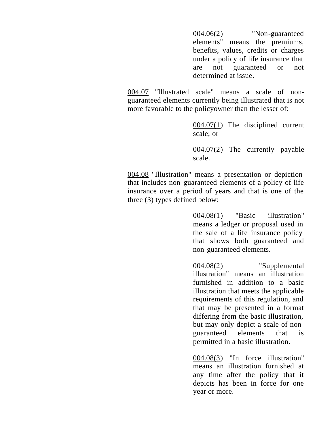004.06(2) "Non-guaranteed elements" means the premiums, benefits, values, credits or charges under a policy of life insurance that are not guaranteed or not determined at issue.

004.07 "Illustrated scale" means a scale of nonguaranteed elements currently being illustrated that is not more favorable to the policyowner than the lesser of:

> 004.07(1) The disciplined current scale; or

> 004.07(2) The currently payable scale.

004.08 "Illustration" means a presentation or depiction that includes non-guaranteed elements of a policy of life insurance over a period of years and that is one of the three (3) types defined below:

> 004.08(1) "Basic illustration" means a ledger or proposal used in the sale of a life insurance policy that shows both guaranteed and non-guaranteed elements.

> 004.08(2) "Supplemental illustration" means an illustration furnished in addition to a basic illustration that meets the applicable requirements of this regulation, and that may be presented in a format differing from the basic illustration, but may only depict a scale of nonguaranteed elements that is permitted in a basic illustration.

> 004.08(3) "In force illustration" means an illustration furnished at any time after the policy that it depicts has been in force for one year or more.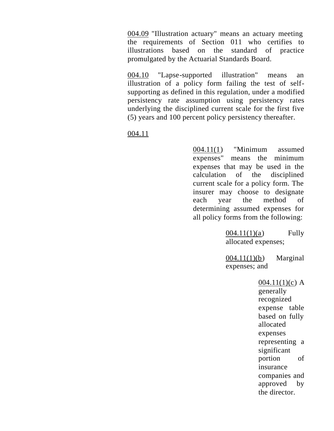004.09 "Illustration actuary" means an actuary meeting the requirements of Section 011 who certifies to illustrations based on the standard of practice promulgated by the Actuarial Standards Board.

004.10 "Lapse-supported illustration" means an illustration of a policy form failing the test of selfsupporting as defined in this regulation, under a modified persistency rate assumption using persistency rates underlying the disciplined current scale for the first five (5) years and 100 percent policy persistency thereafter.

004.11

004.11(1) "Minimum assumed expenses" means the minimum expenses that may be used in the calculation of the disciplined current scale for a policy form. The insurer may choose to designate each year the method of determining assumed expenses for all policy forms from the following:

> $004.11(1)(a)$  Fully allocated expenses;

 $004.11(1)(b)$  Marginal expenses; and

> $004.11(1)(c)$  A generally recognized expense table based on fully allocated expenses representing a significant portion of insurance companies and approved by the director.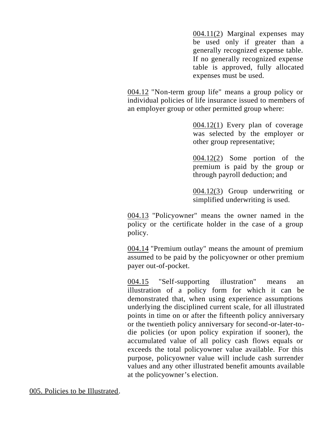004.11(2) Marginal expenses may be used only if greater than a generally recognized expense table. If no generally recognized expense table is approved, fully allocated expenses must be used.

004.12 "Non-term group life" means a group policy or individual policies of life insurance issued to members of an employer group or other permitted group where:

> 004.12(1) Every plan of coverage was selected by the employer or other group representative;

> 004.12(2) Some portion of the premium is paid by the group or through payroll deduction; and

> 004.12(3) Group underwriting or simplified underwriting is used.

004.13 "Policyowner" means the owner named in the policy or the certificate holder in the case of a group policy.

004.14 "Premium outlay" means the amount of premium assumed to be paid by the policyowner or other premium payer out-of-pocket.

004.15 "Self-supporting illustration" means an illustration of a policy form for which it can be demonstrated that, when using experience assumptions underlying the disciplined current scale, for all illustrated points in time on or after the fifteenth policy anniversary or the twentieth policy anniversary for second-or-later-todie policies (or upon policy expiration if sooner), the accumulated value of all policy cash flows equals or exceeds the total policyowner value available. For this purpose, policyowner value will include cash surrender values and any other illustrated benefit amounts available at the policyowner's election.

005. Policies to be Illustrated.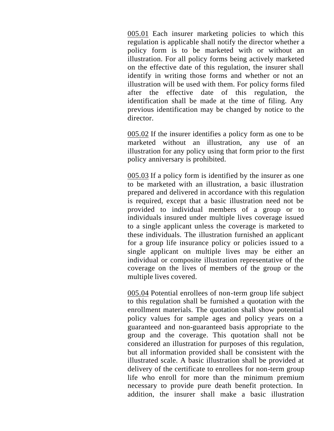005.01 Each insurer marketing policies to which this regulation is applicable shall notify the director whether a policy form is to be marketed with or without an illustration. For all policy forms being actively marketed on the effective date of this regulation, the insurer shall identify in writing those forms and whether or not an illustration will be used with them. For policy forms filed after the effective date of this regulation, the identification shall be made at the time of filing. Any previous identification may be changed by notice to the director.

005.02 If the insurer identifies a policy form as one to be marketed without an illustration, any use of an illustration for any policy using that form prior to the first policy anniversary is prohibited.

005.03 If a policy form is identified by the insurer as one to be marketed with an illustration, a basic illustration prepared and delivered in accordance with this regulation is required, except that a basic illustration need not be provided to individual members of a group or to individuals insured under multiple lives coverage issued to a single applicant unless the coverage is marketed to these individuals. The illustration furnished an applicant for a group life insurance policy or policies issued to a single applicant on multiple lives may be either an individual or composite illustration representative of the coverage on the lives of members of the group or the multiple lives covered.

005.04 Potential enrollees of non-term group life subject to this regulation shall be furnished a quotation with the enrollment materials. The quotation shall show potential policy values for sample ages and policy years on a guaranteed and non-guaranteed basis appropriate to the group and the coverage. This quotation shall not be considered an illustration for purposes of this regulation, but all information provided shall be consistent with the illustrated scale. A basic illustration shall be provided at delivery of the certificate to enrollees for non-term group life who enroll for more than the minimum premium necessary to provide pure death benefit protection. In addition, the insurer shall make a basic illustration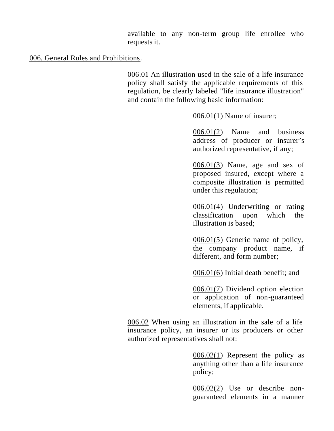available to any non-term group life enrollee who requests it.

## 006. General Rules and Prohibitions.

006.01 An illustration used in the sale of a life insurance policy shall satisfy the applicable requirements of this regulation, be clearly labeled "life insurance illustration" and contain the following basic information:

006.01(1) Name of insurer;

006.01(2) Name and business address of producer or insurer's authorized representative, if any;

006.01(3) Name, age and sex of proposed insured, except where a composite illustration is permitted under this regulation;

006.01(4) Underwriting or rating classification upon which the illustration is based;

006.01(5) Generic name of policy, the company product name, if different, and form number;

006.01(6) Initial death benefit; and

006.01(7) Dividend option election or application of non-guaranteed elements, if applicable.

006.02 When using an illustration in the sale of a life insurance policy, an insurer or its producers or other authorized representatives shall not:

> $0.0602(1)$  Represent the policy as anything other than a life insurance policy;

> 006.02(2) Use or describe nonguaranteed elements in a manner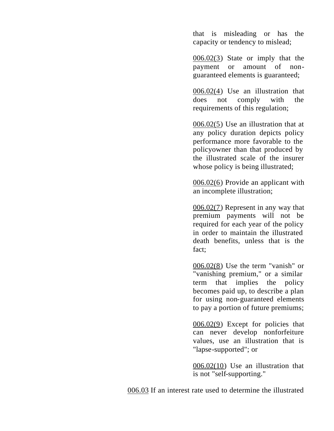that is misleading or has the capacity or tendency to mislead;

006.02(3) State or imply that the payment or amount of nonguaranteed elements is guaranteed;

006.02(4) Use an illustration that does not comply with the requirements of this regulation;

006.02(5) Use an illustration that at any policy duration depicts policy performance more favorable to the policyowner than that produced by the illustrated scale of the insurer whose policy is being illustrated;

006.02(6) Provide an applicant with an incomplete illustration;

006.02(7) Represent in any way that premium payments will not be required for each year of the policy in order to maintain the illustrated death benefits, unless that is the fact;

006.02(8) Use the term "vanish" or "vanishing premium," or a similar term that implies the policy becomes paid up, to describe a plan for using non-guaranteed elements to pay a portion of future premiums;

006.02(9) Except for policies that can never develop nonforfeiture values, use an illustration that is "lapse-supported"; or

006.02(10) Use an illustration that is not "self-supporting."

006.03 If an interest rate used to determine the illustrated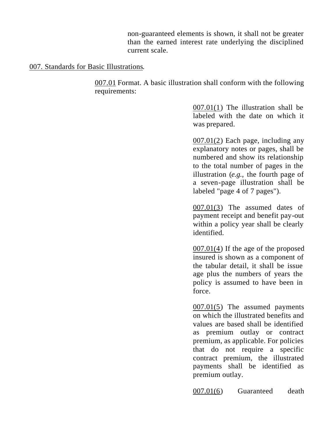non-guaranteed elements is shown, it shall not be greater than the earned interest rate underlying the disciplined current scale.

## 007. Standards for Basic Illustrations.

007.01 Format. A basic illustration shall conform with the following requirements:

> 007.01(1) The illustration shall be labeled with the date on which it was prepared.

> 007.01(2) Each page, including any explanatory notes or pages, shall be numbered and show its relationship to the total number of pages in the illustration (*e.g.,* the fourth page of a seven-page illustration shall be labeled "page 4 of 7 pages").

> 007.01(3) The assumed dates of payment receipt and benefit pay-out within a policy year shall be clearly identified.

> 007.01(4) If the age of the proposed insured is shown as a component of the tabular detail, it shall be issue age plus the numbers of years the policy is assumed to have been in force.

> 007.01(5) The assumed payments on which the illustrated benefits and values are based shall be identified as premium outlay or contract premium, as applicable. For policies that do not require a specific contract premium, the illustrated payments shall be identified as premium outlay.

> 007.01(6) Guaranteed death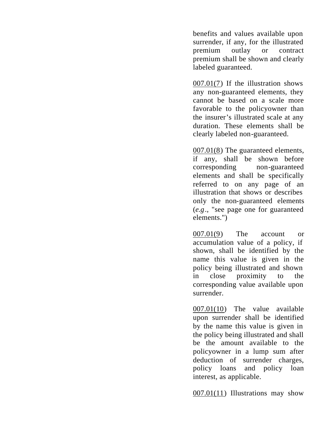benefits and values available upon surrender, if any, for the illustrated premium outlay or contract premium shall be shown and clearly labeled guaranteed.

007.01(7) If the illustration shows any non-guaranteed elements, they cannot be based on a scale more favorable to the policyowner than the insurer's illustrated scale at any duration. These elements shall be clearly labeled non-guaranteed.

007.01(8) The guaranteed elements, if any, shall be shown before corresponding non-guaranteed elements and shall be specifically referred to on any page of an illustration that shows or describes only the non-guaranteed elements (*e.g*., "see page one for guaranteed elements.")

007.01(9) The account or accumulation value of a policy, if shown, shall be identified by the name this value is given in the policy being illustrated and shown in close proximity to the corresponding value available upon surrender.

007.01(10) The value available upon surrender shall be identified by the name this value is given in the policy being illustrated and shall be the amount available to the policyowner in a lump sum after deduction of surrender charges, policy loans and policy loan interest, as applicable.

007.01(11) Illustrations may show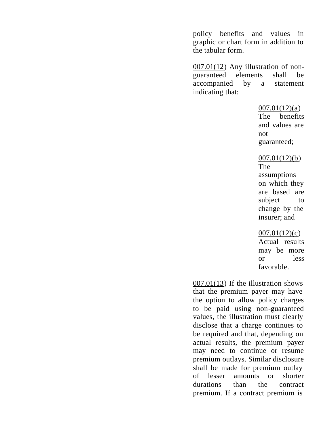policy benefits and values in graphic or chart form in addition to the tabular form.

007.01(12) Any illustration of nonguaranteed elements shall be accompanied by a statement indicating that:

#### $007.01(12)(a)$

The benefits and values are not guaranteed;

### $007.01(12)(b)$

The assumptions on which they are based are subject to change by the insurer; and

### 007.01(12)(c)

Actual results may be more or less favorable.

007.01(13) If the illustration shows that the premium payer may have the option to allow policy charges to be paid using non-guaranteed values, the illustration must clearly disclose that a charge continues to be required and that, depending on actual results, the premium payer may need to continue or resume premium outlays. Similar disclosure shall be made for premium outlay of lesser amounts or shorter durations than the contract premium. If a contract premium is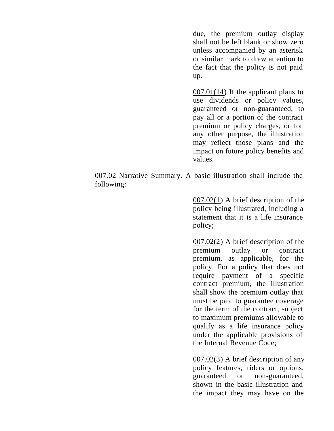due, the premium outlay display shall not be left blank or show zero unless accompanied by an asterisk or similar mark to draw attention to the fact that the policy is not paid up.

007.01(14) If the applicant plans to use dividends or policy values, guaranteed or non-guaranteed, to pay all or a portion of the contract premium or policy charges, or for any other purpose, the illustration may reflect those plans and the impact on future policy benefits and values.

007.02 Narrative Summary. A basic illustration shall include the following:

> 007.02(1) A brief description of the policy being illustrated, including a statement that it is a life insurance policy;

> 007.02(2) A brief description of the premium outlay or contract premium, as applicable, for the policy. For a policy that does not require payment of a specific contract premium, the illustration shall show the premium outlay that must be paid to guarantee coverage for the term of the contract, subject to maximum premiums allowable to qualify as a life insurance policy under the applicable provisions of the Internal Revenue Code;

> 007.02(3) A brief description of any policy features, riders or options, guaranteed or non-guaranteed, shown in the basic illustration and the impact they may have on the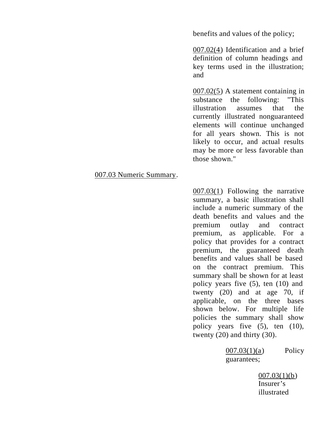benefits and values of the policy;

007.02(4) Identification and a brief definition of column headings and key terms used in the illustration; and

007.02(5) A statement containing in substance the following: "This illustration assumes that the currently illustrated nonguaranteed elements will continue unchanged for all years shown. This is not likely to occur, and actual results may be more or less favorable than those shown."

### 007.03 Numeric Summary.

007.03(1) Following the narrative summary, a basic illustration shall include a numeric summary of the death benefits and values and the premium outlay and contract premium, as applicable. For a policy that provides for a contract premium, the guaranteed death benefits and values shall be based on the contract premium. This summary shall be shown for at least policy years five (5), ten (10) and twenty (20) and at age 70, if applicable, on the three bases shown below. For multiple life policies the summary shall show policy years five (5), ten (10), twenty (20) and thirty (30).

> 007.03(1)(a) Policy guarantees;

> > $007.03(1)(b)$ Insurer's illustrated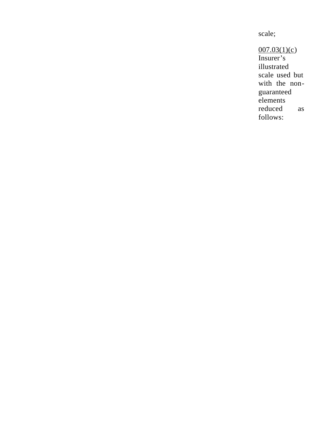scale;

 $007.03(1)(c)$ Insurer's illustrated scale used but with the nonguaranteed elements reduced as follows: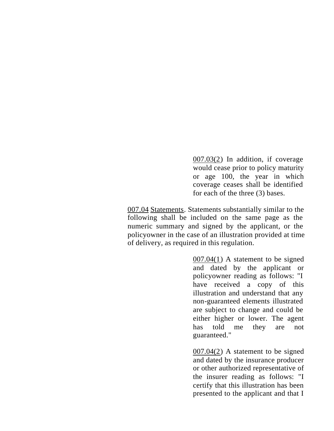007.03(2) In addition, if coverage would cease prior to policy maturity or age 100, the year in which coverage ceases shall be identified for each of the three (3) bases.

007.04 Statements. Statements substantially similar to the following shall be included on the same page as the numeric summary and signed by the applicant, or the policyowner in the case of an illustration provided at time of delivery, as required in this regulation.

> 007.04(1) A statement to be signed and dated by the applicant or policyowner reading as follows: "I have received a copy of this illustration and understand that any non-guaranteed elements illustrated are subject to change and could be either higher or lower. The agent has told me they are not guaranteed."

> 007.04(2) A statement to be signed and dated by the insurance producer or other authorized representative of the insurer reading as follows: "I certify that this illustration has been presented to the applicant and that I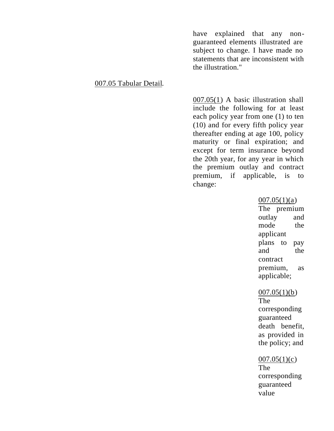have explained that any nonguaranteed elements illustrated are subject to change. I have made no statements that are inconsistent with the illustration."

### 007.05 Tabular Detail.

007.05(1) A basic illustration shall include the following for at least each policy year from one (1) to ten (10) and for every fifth policy year thereafter ending at age 100, policy maturity or final expiration; and except for term insurance beyond the 20th year, for any year in which the premium outlay and contract premium, if applicable, is to change:

### $007.05(1)(a)$

The premium outlay and mode the applicant plans to pay and the contract premium, as applicable;

#### $007.05(1)(b)$

The corresponding guaranteed death benefit, as provided in the policy; and

#### $007.05(1)(c)$

The corresponding guaranteed value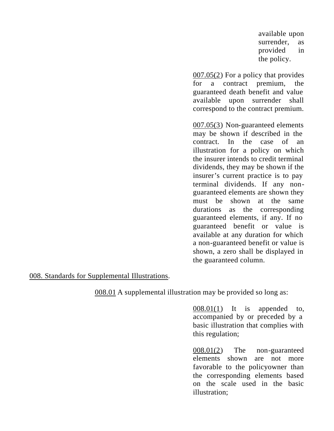available upon surrender, as provided in the policy.

007.05(2) For a policy that provides for a contract premium, the guaranteed death benefit and value available upon surrender shall correspond to the contract premium.

007.05(3) Non-guaranteed elements may be shown if described in the contract. In the case of an illustration for a policy on which the insurer intends to credit terminal dividends, they may be shown if the insurer's current practice is to pay terminal dividends. If any nonguaranteed elements are shown they must be shown at the same durations as the corresponding guaranteed elements, if any. If no guaranteed benefit or value is available at any duration for which a non-guaranteed benefit or value is shown, a zero shall be displayed in the guaranteed column.

### 008. Standards for Supplemental Illustrations.

008.01 A supplemental illustration may be provided so long as:

008.01(1) It is appended to, accompanied by or preceded by a basic illustration that complies with this regulation;

008.01(2) The non-guaranteed elements shown are not more favorable to the policyowner than the corresponding elements based on the scale used in the basic illustration;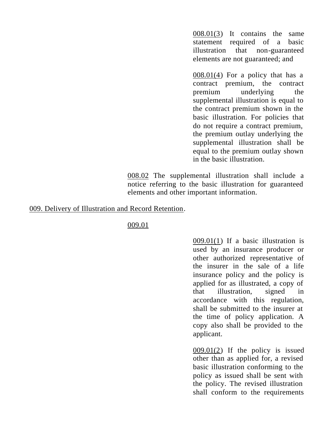008.01(3) It contains the same statement required of a basic illustration that non-guaranteed elements are not guaranteed; and

008.01(4) For a policy that has a contract premium, the contract premium underlying the supplemental illustration is equal to the contract premium shown in the basic illustration. For policies that do not require a contract premium, the premium outlay underlying the supplemental illustration shall be equal to the premium outlay shown in the basic illustration.

008.02 The supplemental illustration shall include a notice referring to the basic illustration for guaranteed elements and other important information.

## 009. Delivery of Illustration and Record Retention.

009.01

009.01(1) If a basic illustration is used by an insurance producer or other authorized representative of the insurer in the sale of a life insurance policy and the policy is applied for as illustrated, a copy of that illustration, signed in accordance with this regulation, shall be submitted to the insurer at the time of policy application. A copy also shall be provided to the applicant.

 $009.01(2)$  If the policy is issued other than as applied for, a revised basic illustration conforming to the policy as issued shall be sent with the policy. The revised illustration shall conform to the requirements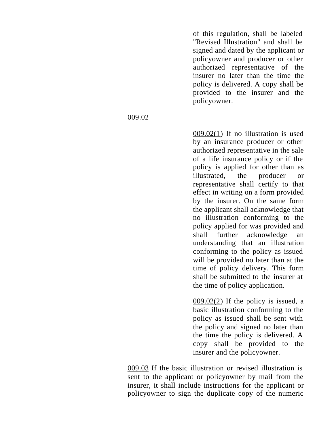of this regulation, shall be labeled "Revised Illustration" and shall be signed and dated by the applicant or policyowner and producer or other authorized representative of the insurer no later than the time the policy is delivered. A copy shall be provided to the insurer and the policyowner.

009.02(1) If no illustration is used by an insurance producer or other authorized representative in the sale of a life insurance policy or if the policy is applied for other than as illustrated, the producer or representative shall certify to that effect in writing on a form provided by the insurer. On the same form the applicant shall acknowledge that no illustration conforming to the policy applied for was provided and shall further acknowledge an understanding that an illustration conforming to the policy as issued will be provided no later than at the time of policy delivery. This form shall be submitted to the insurer at the time of policy application.

 $009.02(2)$  If the policy is issued, a basic illustration conforming to the policy as issued shall be sent with the policy and signed no later than the time the policy is delivered. A copy shall be provided to the insurer and the policyowner.

009.03 If the basic illustration or revised illustration is sent to the applicant or policyowner by mail from the insurer, it shall include instructions for the applicant or policyowner to sign the duplicate copy of the numeric

## 009.02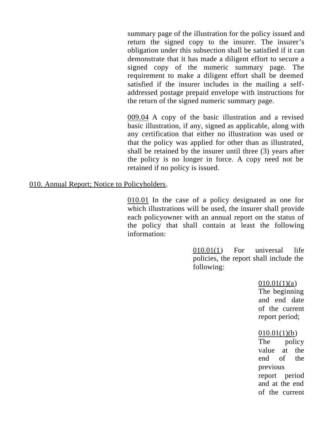summary page of the illustration for the policy issued and return the signed copy to the insurer. The insurer's obligation under this subsection shall be satisfied if it can demonstrate that it has made a diligent effort to secure a signed copy of the numeric summary page. The requirement to make a diligent effort shall be deemed satisfied if the insurer includes in the mailing a selfaddressed postage prepaid envelope with instructions for the return of the signed numeric summary page.

009.04 A copy of the basic illustration and a revised basic illustration, if any, signed as applicable, along with any certification that either no illustration was used or that the policy was applied for other than as illustrated, shall be retained by the insurer until three (3) years after the policy is no longer in force. A copy need not be retained if no policy is issued.

### 010. Annual Report; Notice to Policyholders.

010.01 In the case of a policy designated as one for which illustrations will be used, the insurer shall provide each policyowner with an annual report on the status of the policy that shall contain at least the following information:

> 010.01(1) For universal life policies, the report shall include the following:

> > $010.01(1)(a)$ The beginning and end date of the current report period;

### $010.01(1)(b)$

The policy value at the end of the previous report period and at the end of the current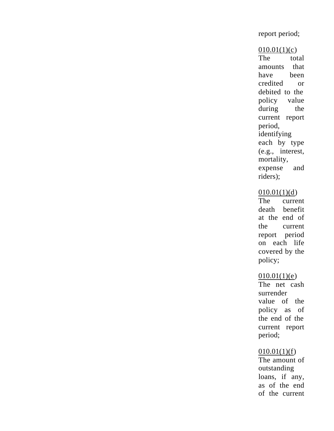## report period;

#### $010.01(1)(c)$

The total amounts that have been credited or debited to the policy value during the current report period, identifying each by type (e.g., interest, mortality, expense and riders);

#### $010.01(1)(d)$

The current death benefit at the end of the current report period on each life covered by the policy;

## $010.01(1)(e)$

The net cash surrender value of the policy as of the end of the current report period;

#### $010.01(1)(f)$

The amount of outstanding loans, if any, as of the end of the current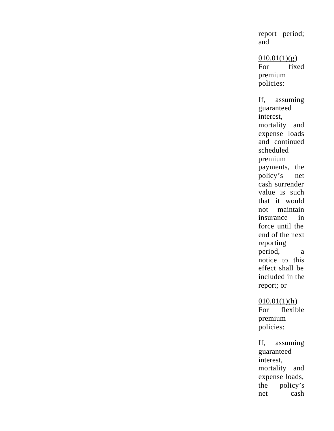report period; and

 $010.01(1)(g)$ For fixed premium policies: If, assuming guaranteed interest, mortality and expense loads and continued scheduled premium payments, the policy's net cash surrender value is such that it would not maintain insurance in force until the end of the next reporting period, a notice to this effect shall be included in the report; or

# $010.01(1)(h)$

For flexible premium policies:

If, assuming guaranteed interest, mortality and expense loads, the policy's net cash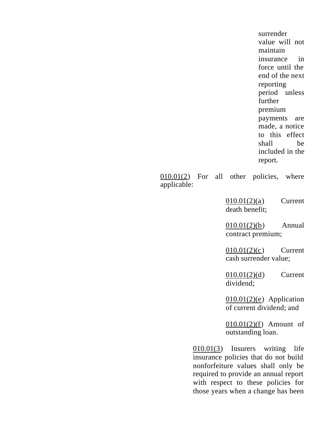surrender value will not maintain insurance in force until the end of the next reporting period unless further premium payments are made, a notice to this effect shall be included in the report.

010.01(2) For all other policies, where applicable:

> 010.01(2)(a) Current death benefit;

> 010.01(2)(b) Annual contract premium;

> 010.01(2)(c) Current cash surrender value;

> 010.01(2)(d) Current dividend;

> $010.01(2)(e)$  Application of current dividend; and

> 010.01(2)(f) Amount of outstanding loan.

010.01(3) Insurers writing life insurance policies that do not build nonforfeiture values shall only be required to provide an annual report with respect to these policies for those years when a change has been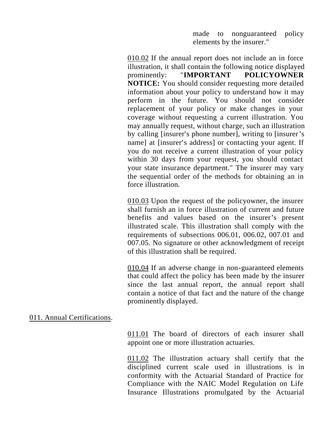made to nonguaranteed policy elements by the insurer."

010.02 If the annual report does not include an in force illustration, it shall contain the following notice displayed prominently: "**IMPORTANT POLICYOWNER NOTICE:** You should consider requesting more detailed information about your policy to understand how it may perform in the future. You should not consider replacement of your policy or make changes in your coverage without requesting a current illustration. You may annually request, without charge, such an illustration by calling [insurer's phone number], writing to [insurer's name] at [insurer's address] or contacting your agent. If you do not receive a current illustration of your policy within 30 days from your request, you should contact your state insurance department." The insurer may vary the sequential order of the methods for obtaining an in force illustration.

010.03 Upon the request of the policyowner, the insurer shall furnish an in force illustration of current and future benefits and values based on the insurer's present illustrated scale. This illustration shall comply with the requirements of subsections 006.01, 006.02, 007.01 and 007.05. No signature or other acknowledgment of receipt of this illustration shall be required.

010.04 If an adverse change in non-guaranteed elements that could affect the policy has been made by the insurer since the last annual report, the annual report shall contain a notice of that fact and the nature of the change prominently displayed.

011. Annual Certifications.

011.01 The board of directors of each insurer shall appoint one or more illustration actuaries.

011.02 The illustration actuary shall certify that the disciplined current scale used in illustrations is in conformity with the Actuarial Standard of Practice for Compliance with the NAIC Model Regulation on Life Insurance Illustrations promulgated by the Actuarial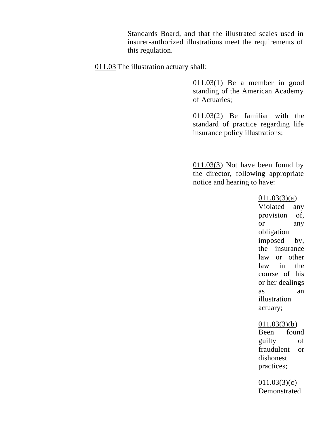Standards Board, and that the illustrated scales used in insurer-authorized illustrations meet the requirements of this regulation.

011.03 The illustration actuary shall:

 $011.03(1)$  Be a member in good standing of the American Academy of Actuaries;

011.03(2) Be familiar with the standard of practice regarding life insurance policy illustrations;

011.03(3) Not have been found by the director, following appropriate notice and hearing to have:

> 011.03(3)(a) Violated any provision of, or any obligation imposed by, the insurance law or other law in the course of his or her dealings as an illustration actuary;

## 011.03(3)(b)

Been found guilty of fraudulent or dishonest practices;

 $011.03(3)(c)$ Demonstrated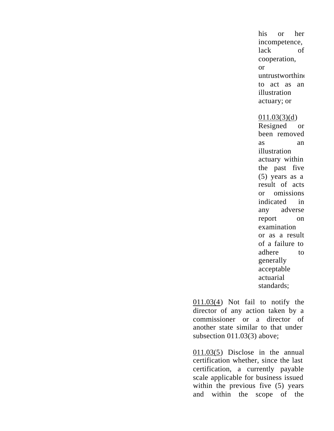his or her incompetence, lack of cooperation, or untrustworthine to act as an illustration actuary; or

#### 011.03(3)(d)

Resigned or been removed as an illustration actuary within the past five (5) years as a result of acts or omissions indicated in any adverse report on examination or as a result of a failure to adhere to generally acceptable actuarial standards;

011.03(4) Not fail to notify the director of any action taken by a commissioner or a director of another state similar to that under subsection 011.03(3) above;

011.03(5) Disclose in the annual certification whether, since the last certification, a currently payable scale applicable for business issued within the previous five (5) years and within the scope of the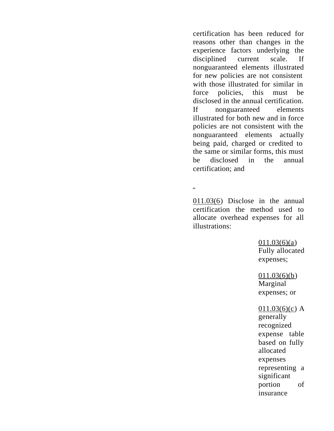certification has been reduced for reasons other than changes in the experience factors underlying the disciplined current scale. If nonguaranteed elements illustrated for new policies are not consistent with those illustrated for similar in force policies, this must be disclosed in the annual certification. If nonguaranteed elements illustrated for both new and in force policies are not consistent with the nonguaranteed elements actually being paid, charged or credited to the same or similar forms, this must be disclosed in the annual certification; and

011.03(6) Disclose in the annual certification the method used to allocate overhead expenses for all illustrations:

 $\equiv$ 

011.03(6)(a) Fully allocated expenses;

 $011.03(6)(b)$ Marginal expenses; or

#### $011.03(6)(c)$  A

generally recognized expense table based on fully allocated expenses representing a significant portion of insurance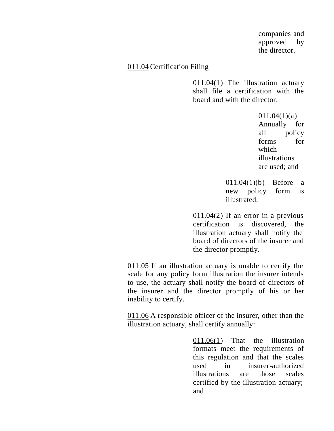companies and approved by the director.

### 011.04 Certification Filing

011.04(1) The illustration actuary shall file a certification with the board and with the director:

> $011.04(1)(a)$ Annually for all policy forms for which illustrations are used; and

011.04(1)(b) Before a new policy form is illustrated.

011.04(2) If an error in a previous certification is discovered, the illustration actuary shall notify the board of directors of the insurer and the director promptly.

011.05 If an illustration actuary is unable to certify the scale for any policy form illustration the insurer intends to use, the actuary shall notify the board of directors of the insurer and the director promptly of his or her inability to certify.

011.06 A responsible officer of the insurer, other than the illustration actuary, shall certify annually:

> 011.06(1) That the illustration formats meet the requirements of this regulation and that the scales used in insurer-authorized illustrations are those scales certified by the illustration actuary; and